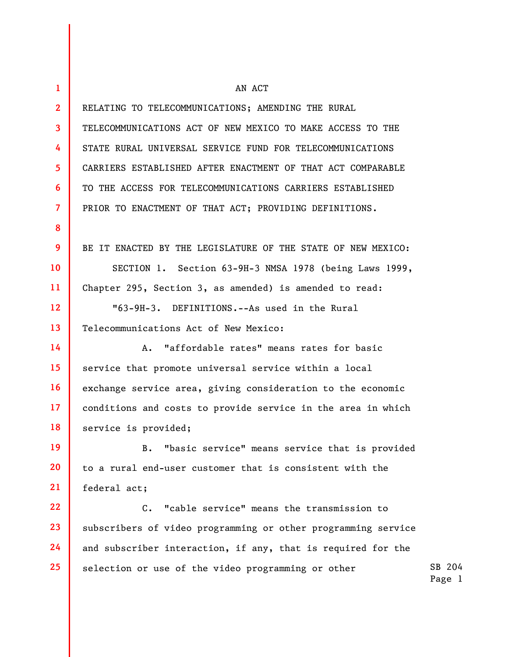| $\mathbf{1}$   | AN ACT                                                        |
|----------------|---------------------------------------------------------------|
| $\overline{2}$ | RELATING TO TELECOMMUNICATIONS; AMENDING THE RURAL            |
| 3              | TELECOMMUNICATIONS ACT OF NEW MEXICO TO MAKE ACCESS TO THE    |
| 4              | STATE RURAL UNIVERSAL SERVICE FUND FOR TELECOMMUNICATIONS     |
| 5              | CARRIERS ESTABLISHED AFTER ENACTMENT OF THAT ACT COMPARABLE   |
| 6              | TO THE ACCESS FOR TELECOMMUNICATIONS CARRIERS ESTABLISHED     |
| 7              | PRIOR TO ENACTMENT OF THAT ACT; PROVIDING DEFINITIONS.        |
| 8              |                                                               |
| 9              | BE IT ENACTED BY THE LEGISLATURE OF THE STATE OF NEW MEXICO:  |
| 10             | SECTION 1. Section 63-9H-3 NMSA 1978 (being Laws 1999,        |
| 11             | Chapter 295, Section 3, as amended) is amended to read:       |
| 12             | "63-9H-3. DEFINITIONS.--As used in the Rural                  |
| 13             | Telecommunications Act of New Mexico:                         |
| 14             | "affordable rates" means rates for basic<br>А.                |
| 15             | service that promote universal service within a local         |
| 16             | exchange service area, giving consideration to the economic   |
| 17             | conditions and costs to provide service in the area in which  |
| 18             | service is provided;                                          |
| 19             | "basic service" means service that is provided<br>B.          |
| 20             | to a rural end-user customer that is consistent with the      |
| 21             | federal act;                                                  |
| 22             | $C_{\bullet}$<br>"cable service" means the transmission to    |
| 23             | subscribers of video programming or other programming service |
| 24             | and subscriber interaction, if any, that is required for the  |
| 25             | selection or use of the video programming or other            |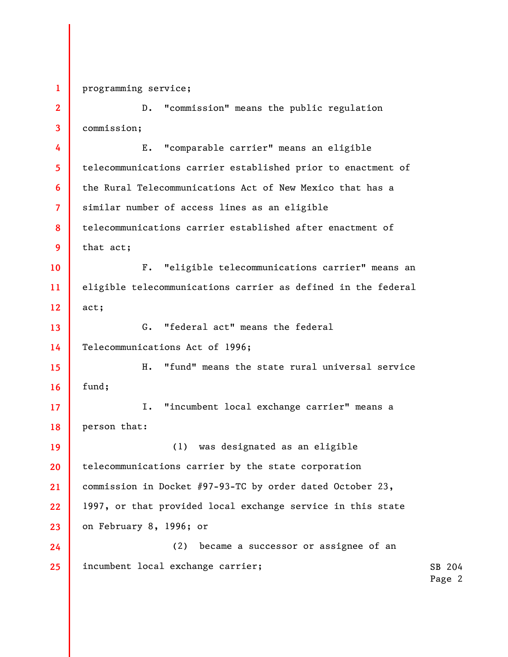1 2 3 4 5 6 7 8 9 10 11 12 13 14 15 16 17 18 19 20 21 22 23 24 25 programming service; D. "commission" means the public regulation commission; E. "comparable carrier" means an eligible telecommunications carrier established prior to enactment of the Rural Telecommunications Act of New Mexico that has a similar number of access lines as an eligible telecommunications carrier established after enactment of that act; F. "eligible telecommunications carrier" means an eligible telecommunications carrier as defined in the federal act; G. "federal act" means the federal Telecommunications Act of 1996; H. "fund" means the state rural universal service fund; I. "incumbent local exchange carrier" means a person that: (1) was designated as an eligible telecommunications carrier by the state corporation commission in Docket #97-93-TC by order dated October 23, 1997, or that provided local exchange service in this state on February 8, 1996; or (2) became a successor or assignee of an incumbent local exchange carrier;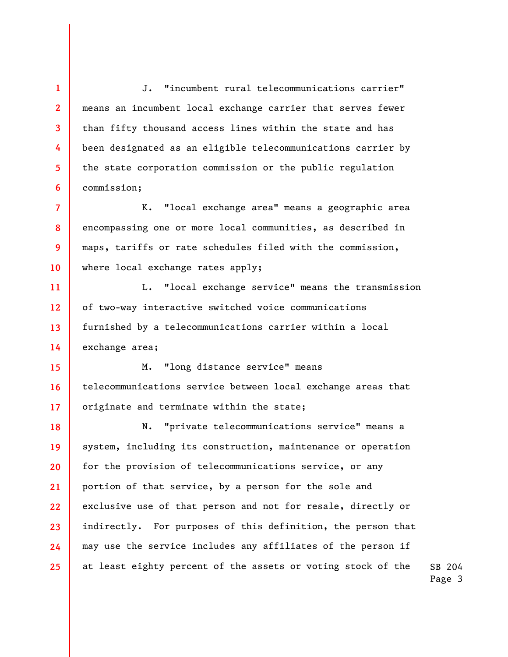J. "incumbent rural telecommunications carrier" means an incumbent local exchange carrier that serves fewer than fifty thousand access lines within the state and has been designated as an eligible telecommunications carrier by the state corporation commission or the public regulation commission;

1

2

3

4

5

6

7 8 9 10 K. "local exchange area" means a geographic area encompassing one or more local communities, as described in maps, tariffs or rate schedules filed with the commission, where local exchange rates apply;

11 12 13 14 L. "local exchange service" means the transmission of two-way interactive switched voice communications furnished by a telecommunications carrier within a local exchange area;

15 16 17 M. "long distance service" means telecommunications service between local exchange areas that originate and terminate within the state;

18 19 20 21 22 23 24 25 N. "private telecommunications service" means a system, including its construction, maintenance or operation for the provision of telecommunications service, or any portion of that service, by a person for the sole and exclusive use of that person and not for resale, directly or indirectly. For purposes of this definition, the person that may use the service includes any affiliates of the person if at least eighty percent of the assets or voting stock of the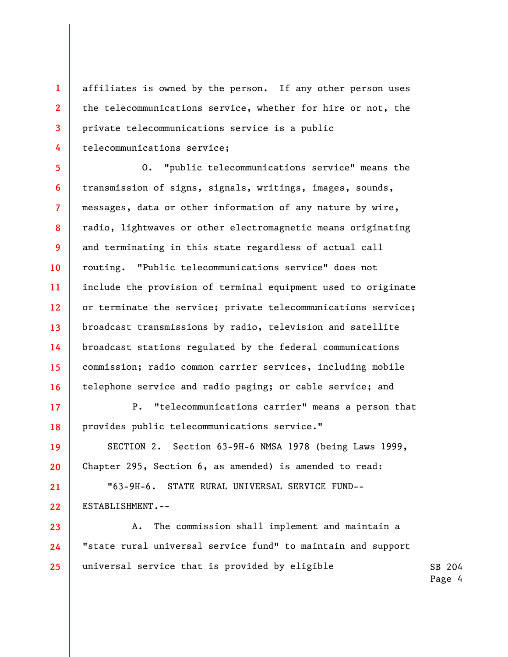affiliates is owned by the person. If any other person uses the telecommunications service, whether for hire or not, the private telecommunications service is a public telecommunications service;

1

2

3

4

17

18

19

20

21

22

5 6 7 8 9 10 11 12 13 14 15 16 O. "public telecommunications service" means the transmission of signs, signals, writings, images, sounds, messages, data or other information of any nature by wire, radio, lightwaves or other electromagnetic means originating and terminating in this state regardless of actual call routing. "Public telecommunications service" does not include the provision of terminal equipment used to originate or terminate the service; private telecommunications service; broadcast transmissions by radio, television and satellite broadcast stations regulated by the federal communications commission; radio common carrier services, including mobile telephone service and radio paging; or cable service; and

P. "telecommunications carrier" means a person that provides public telecommunications service."

SECTION 2. Section 63-9H-6 NMSA 1978 (being Laws 1999, Chapter 295, Section 6, as amended) is amended to read:

"63-9H-6. STATE RURAL UNIVERSAL SERVICE FUND-- ESTABLISHMENT.--

23 24 25 A. The commission shall implement and maintain a "state rural universal service fund" to maintain and support universal service that is provided by eligible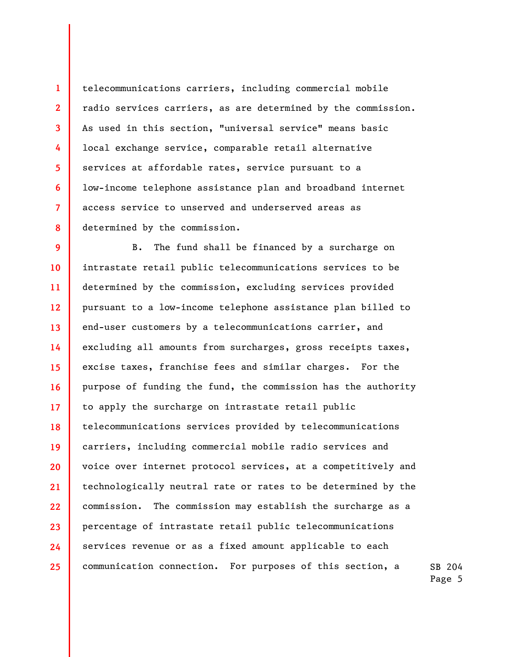telecommunications carriers, including commercial mobile radio services carriers, as are determined by the commission. As used in this section, "universal service" means basic local exchange service, comparable retail alternative services at affordable rates, service pursuant to a low-income telephone assistance plan and broadband internet access service to unserved and underserved areas as determined by the commission.

1

2

3

4

5

6

7

8

9 10 11 12 13 14 15 16 17 18 19 20 21 22 23 24 25 B. The fund shall be financed by a surcharge on intrastate retail public telecommunications services to be determined by the commission, excluding services provided pursuant to a low-income telephone assistance plan billed to end-user customers by a telecommunications carrier, and excluding all amounts from surcharges, gross receipts taxes, excise taxes, franchise fees and similar charges. For the purpose of funding the fund, the commission has the authority to apply the surcharge on intrastate retail public telecommunications services provided by telecommunications carriers, including commercial mobile radio services and voice over internet protocol services, at a competitively and technologically neutral rate or rates to be determined by the commission. The commission may establish the surcharge as a percentage of intrastate retail public telecommunications services revenue or as a fixed amount applicable to each communication connection. For purposes of this section, a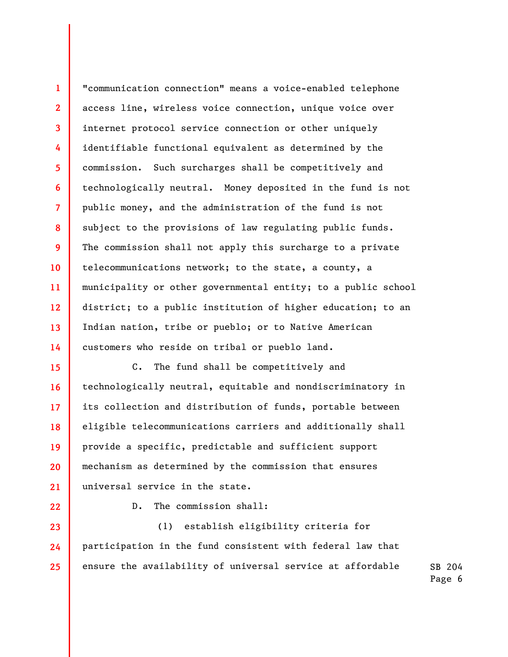1 2 3 4 5 6 7 8 9 10 11 12 13 14 "communication connection" means a voice-enabled telephone access line, wireless voice connection, unique voice over internet protocol service connection or other uniquely identifiable functional equivalent as determined by the commission. Such surcharges shall be competitively and technologically neutral. Money deposited in the fund is not public money, and the administration of the fund is not subject to the provisions of law regulating public funds. The commission shall not apply this surcharge to a private telecommunications network; to the state, a county, a municipality or other governmental entity; to a public school district; to a public institution of higher education; to an Indian nation, tribe or pueblo; or to Native American customers who reside on tribal or pueblo land.

C. The fund shall be competitively and technologically neutral, equitable and nondiscriminatory in its collection and distribution of funds, portable between eligible telecommunications carriers and additionally shall provide a specific, predictable and sufficient support mechanism as determined by the commission that ensures universal service in the state.

22

23

24

25

15

16

17

18

19

20

21

D. The commission shall:

SB 204 (1) establish eligibility criteria for participation in the fund consistent with federal law that ensure the availability of universal service at affordable

Page 6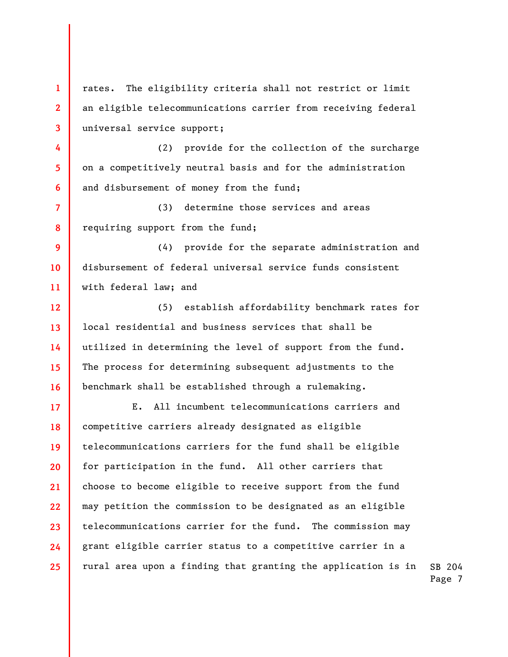1 2 3 4 5 6 7 8 9 10 11 12 13 14 15 16 17 18 19 20 21 22 23 24 25 rates. The eligibility criteria shall not restrict or limit an eligible telecommunications carrier from receiving federal universal service support; (2) provide for the collection of the surcharge on a competitively neutral basis and for the administration and disbursement of money from the fund; (3) determine those services and areas requiring support from the fund; (4) provide for the separate administration and disbursement of federal universal service funds consistent with federal law; and (5) establish affordability benchmark rates for local residential and business services that shall be utilized in determining the level of support from the fund. The process for determining subsequent adjustments to the benchmark shall be established through a rulemaking. E. All incumbent telecommunications carriers and competitive carriers already designated as eligible telecommunications carriers for the fund shall be eligible for participation in the fund. All other carriers that choose to become eligible to receive support from the fund may petition the commission to be designated as an eligible telecommunications carrier for the fund. The commission may grant eligible carrier status to a competitive carrier in a rural area upon a finding that granting the application is in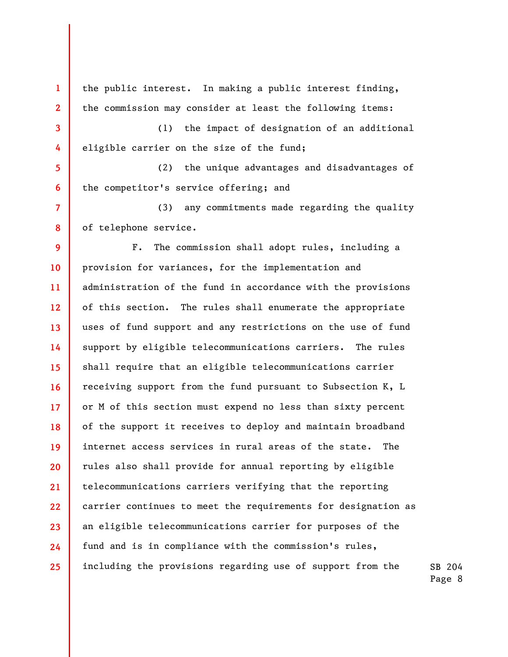1 2 3 4 5 6 7 8 9 10 11 12 13 14 15 16 17 18 19 20 21 22 23 24 25 the public interest. In making a public interest finding, the commission may consider at least the following items: (1) the impact of designation of an additional eligible carrier on the size of the fund; (2) the unique advantages and disadvantages of the competitor's service offering; and (3) any commitments made regarding the quality of telephone service. F. The commission shall adopt rules, including a provision for variances, for the implementation and administration of the fund in accordance with the provisions of this section. The rules shall enumerate the appropriate uses of fund support and any restrictions on the use of fund support by eligible telecommunications carriers. The rules shall require that an eligible telecommunications carrier receiving support from the fund pursuant to Subsection K, L or M of this section must expend no less than sixty percent of the support it receives to deploy and maintain broadband internet access services in rural areas of the state. The rules also shall provide for annual reporting by eligible telecommunications carriers verifying that the reporting carrier continues to meet the requirements for designation as an eligible telecommunications carrier for purposes of the fund and is in compliance with the commission's rules, including the provisions regarding use of support from the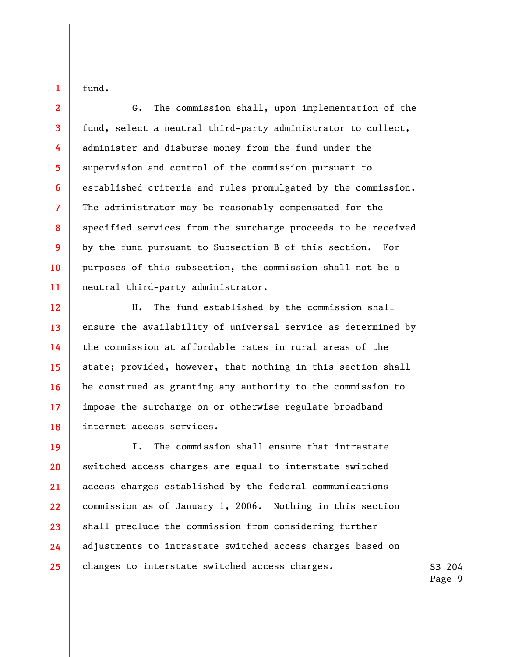fund.

1

2

3

4

5

6

7

8

9

10

11

G. The commission shall, upon implementation of the fund, select a neutral third-party administrator to collect, administer and disburse money from the fund under the supervision and control of the commission pursuant to established criteria and rules promulgated by the commission. The administrator may be reasonably compensated for the specified services from the surcharge proceeds to be received by the fund pursuant to Subsection B of this section. For purposes of this subsection, the commission shall not be a neutral third-party administrator.

12 13 14 15 16 17 18 H. The fund established by the commission shall ensure the availability of universal service as determined by the commission at affordable rates in rural areas of the state; provided, however, that nothing in this section shall be construed as granting any authority to the commission to impose the surcharge on or otherwise regulate broadband internet access services.

19 20 21 22 23 24 25 I. The commission shall ensure that intrastate switched access charges are equal to interstate switched access charges established by the federal communications commission as of January 1, 2006. Nothing in this section shall preclude the commission from considering further adjustments to intrastate switched access charges based on changes to interstate switched access charges.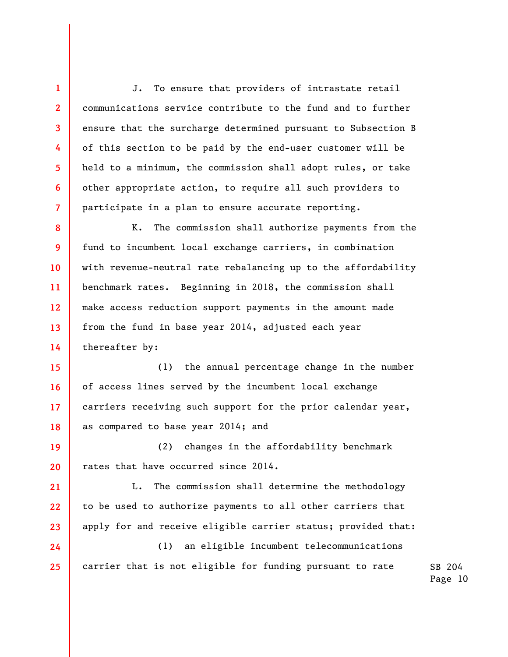J. To ensure that providers of intrastate retail communications service contribute to the fund and to further ensure that the surcharge determined pursuant to Subsection B of this section to be paid by the end-user customer will be held to a minimum, the commission shall adopt rules, or take other appropriate action, to require all such providers to participate in a plan to ensure accurate reporting.

1

2

3

4

5

6

7

21

22

23

24

25

8 9 10 11 12 13 14 K. The commission shall authorize payments from the fund to incumbent local exchange carriers, in combination with revenue-neutral rate rebalancing up to the affordability benchmark rates. Beginning in 2018, the commission shall make access reduction support payments in the amount made from the fund in base year 2014, adjusted each year thereafter by:

15 16 17 18 (1) the annual percentage change in the number of access lines served by the incumbent local exchange carriers receiving such support for the prior calendar year, as compared to base year 2014; and

19 20 (2) changes in the affordability benchmark rates that have occurred since 2014.

L. The commission shall determine the methodology to be used to authorize payments to all other carriers that apply for and receive eligible carrier status; provided that:

(1) an eligible incumbent telecommunications carrier that is not eligible for funding pursuant to rate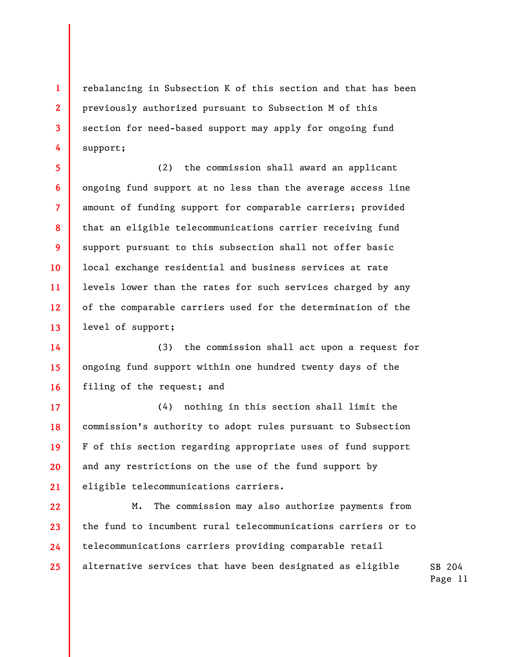rebalancing in Subsection K of this section and that has been previously authorized pursuant to Subsection M of this section for need-based support may apply for ongoing fund support;

1

2

3

4

5

6

7

8

9

10

11

12

13

17

18

19

20

21

(2) the commission shall award an applicant ongoing fund support at no less than the average access line amount of funding support for comparable carriers; provided that an eligible telecommunications carrier receiving fund support pursuant to this subsection shall not offer basic local exchange residential and business services at rate levels lower than the rates for such services charged by any of the comparable carriers used for the determination of the level of support;

14 15 16 (3) the commission shall act upon a request for ongoing fund support within one hundred twenty days of the filing of the request; and

(4) nothing in this section shall limit the commission's authority to adopt rules pursuant to Subsection F of this section regarding appropriate uses of fund support and any restrictions on the use of the fund support by eligible telecommunications carriers.

22 23 24 25 M. The commission may also authorize payments from the fund to incumbent rural telecommunications carriers or to telecommunications carriers providing comparable retail alternative services that have been designated as eligible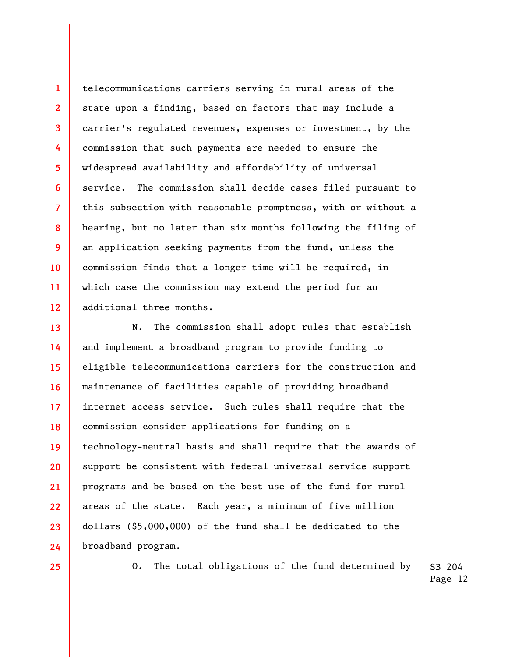1 2 3 4 5 6 7 8 9 10 11 12 telecommunications carriers serving in rural areas of the state upon a finding, based on factors that may include a carrier's regulated revenues, expenses or investment, by the commission that such payments are needed to ensure the widespread availability and affordability of universal service. The commission shall decide cases filed pursuant to this subsection with reasonable promptness, with or without a hearing, but no later than six months following the filing of an application seeking payments from the fund, unless the commission finds that a longer time will be required, in which case the commission may extend the period for an additional three months.

13 14 15 16 17 18 19 20 21 22 23 24 N. The commission shall adopt rules that establish and implement a broadband program to provide funding to eligible telecommunications carriers for the construction and maintenance of facilities capable of providing broadband internet access service. Such rules shall require that the commission consider applications for funding on a technology-neutral basis and shall require that the awards of support be consistent with federal universal service support programs and be based on the best use of the fund for rural areas of the state. Each year, a minimum of five million dollars (\$5,000,000) of the fund shall be dedicated to the broadband program.

25

SB 204 O. The total obligations of the fund determined by

Page 12